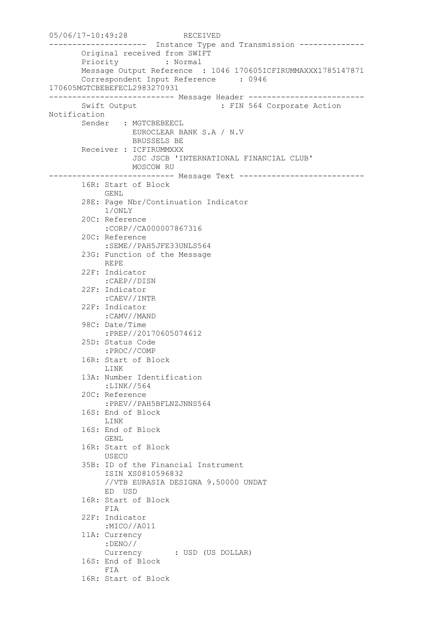05/06/17-10:49:28 RECEIVED --------------------- Instance Type and Transmission -------------- Original received from SWIFT Priority : Normal Message Output Reference : 1046 170605ICFIRUMMAXXX1785147871 Correspondent Input Reference : 0946 170605MGTCBEBEFECL2983270931 --------------------------- Message Header ------------------------- Swift Output : FIN 564 Corporate Action Notification Sender : MGTCBEBEECL EUROCLEAR BANK S.A / N.V BRUSSELS BE Receiver : ICFIRUMMXXX JSC JSCB 'INTERNATIONAL FINANCIAL CLUB' MOSCOW RU --------------------------- Message Text --------------------------- 16R: Start of Block GENL 28E: Page Nbr/Continuation Indicator 1/ONLY 20C: Reference :CORP//CA000007867316 20C: Reference :SEME//PAH5JFE33UNLS564 23G: Function of the Message REPE 22F: Indicator :CAEP//DISN 22F: Indicator :CAEV//INTR 22F: Indicator :CAMV//MAND 98C: Date/Time :PREP//20170605074612 25D: Status Code :PROC//COMP 16R: Start of Block LINK 13A: Number Identification :LINK//564 20C: Reference :PREV//PAH5BFLNZJNNS564 16S: End of Block LINK 16S: End of Block GENL 16R: Start of Block USECU 35B: ID of the Financial Instrument ISIN XS0810596832 //VTB EURASIA DESIGNA 9.50000 UNDAT ED USD 16R: Start of Block FIA 22F: Indicator :MICO//A011 11A: Currency :DENO// Currency : USD (US DOLLAR) 16S: End of Block FIA 16R: Start of Block